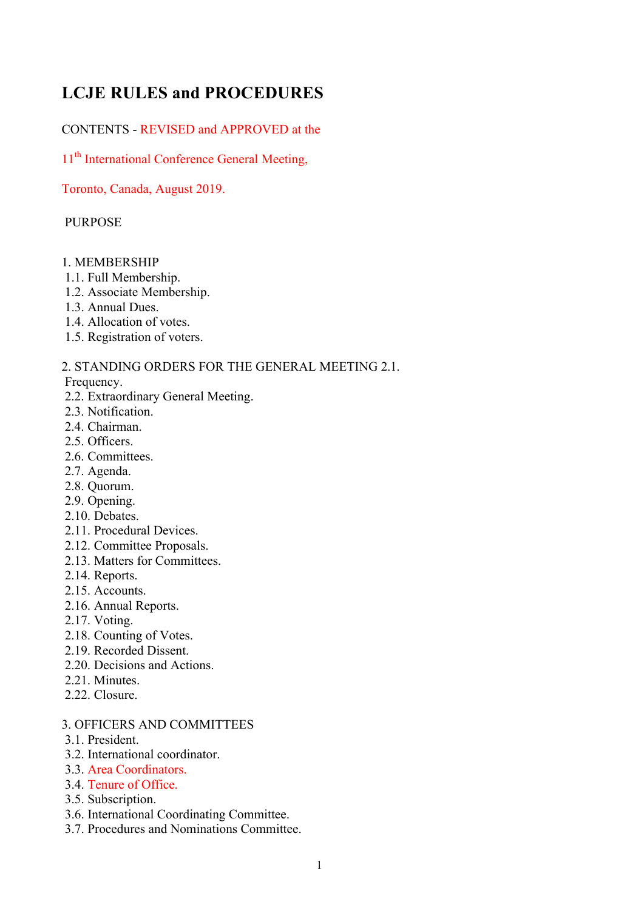# **LCJE RULES and PROCEDURES**

# CONTENTS - REVISED and APPROVED at the

11<sup>th</sup> International Conference General Meeting,

Toronto, Canada, August 2019.

# **PURPOSE**

# 1. MEMBERSHIP

- 1.1. Full Membership.
- 1.2. Associate Membership.
- 1.3. Annual Dues.
- 1.4. Allocation of votes.
- 1.5. Registration of voters.

2. STANDING ORDERS FOR THE GENERAL MEETING 2.1.

Frequency.

- 2.2. Extraordinary General Meeting.
- 2.3. Notification.
- 2.4. Chairman.
- 2.5. Officers.
- 2.6. Committees.
- 2.7. Agenda.
- 2.8. Quorum.
- 2.9. Opening.
- 2.10 Debates
- 2.11. Procedural Devices.
- 2.12. Committee Proposals.
- 2.13. Matters for Committees.
- 2.14. Reports.
- 2.15. Accounts.
- 2.16. Annual Reports.
- 2.17. Voting.
- 2.18. Counting of Votes.
- 2.19. Recorded Dissent.
- 2.20. Decisions and Actions.
- 2.21. Minutes.
- 2.22. Closure.

# 3. OFFICERS AND COMMITTEES

- 3.1. President.
- 3.2. International coordinator.
- 3.3. Area Coordinators.
- 3.4. Tenure of Office.
- 3.5. Subscription.
- 3.6. International Coordinating Committee.
- 3.7. Procedures and Nominations Committee.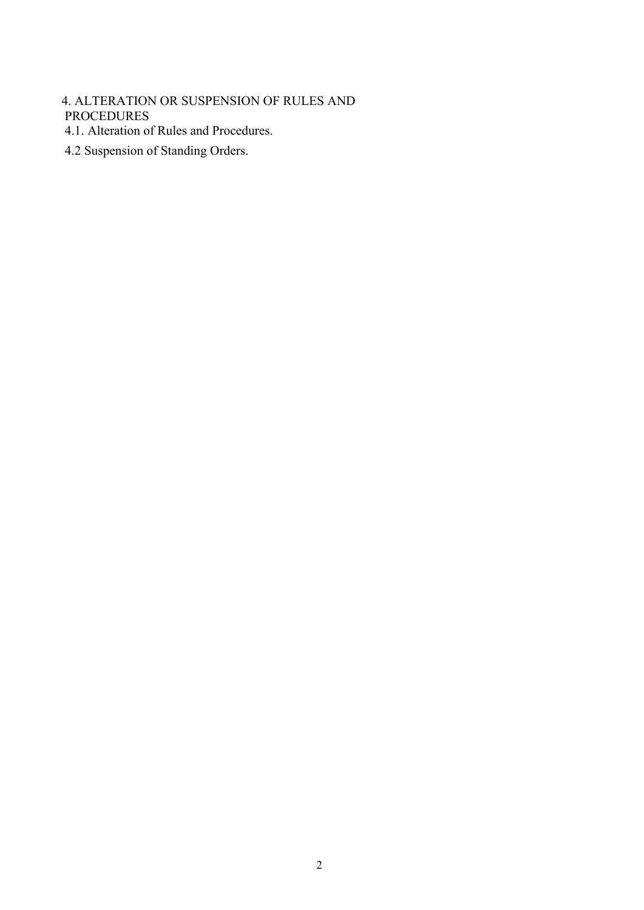# 4. ALTERATION OR SUSPENSION OF RULES AND PROCEDURES

- 4.1. Alteration of Rules and Procedures.
- 4.2 Suspension of Standing Orders.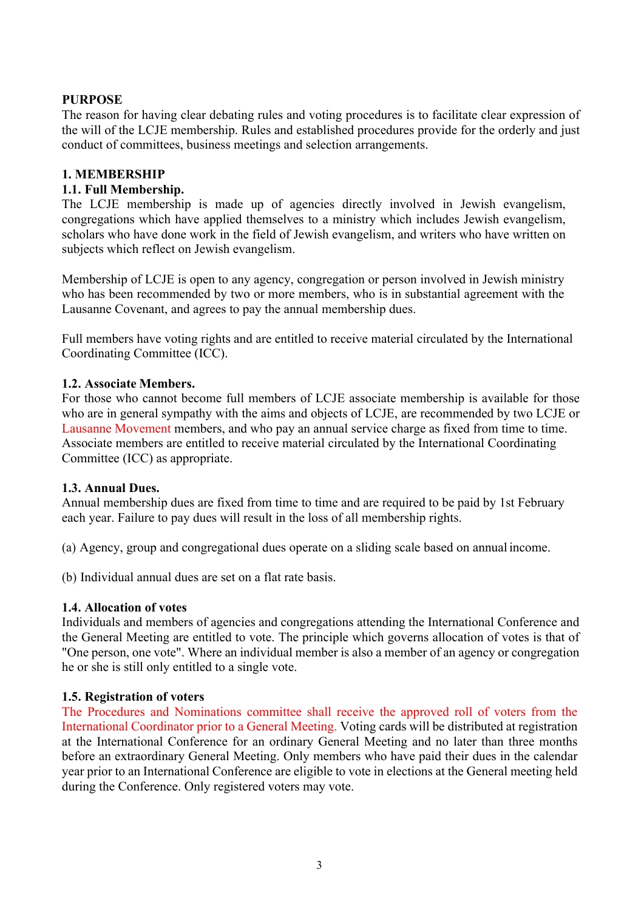# **PURPOSE**

The reason for having clear debating rules and voting procedures is to facilitate clear expression of the will of the LCJE membership. Rules and established procedures provide for the orderly and just conduct of committees, business meetings and selection arrangements.

#### **1. MEMBERSHIP**

#### **1.1. Full Membership.**

The LCJE membership is made up of agencies directly involved in Jewish evangelism, congregations which have applied themselves to a ministry which includes Jewish evangelism, scholars who have done work in the field of Jewish evangelism, and writers who have written on subjects which reflect on Jewish evangelism.

Membership of LCJE is open to any agency, congregation or person involved in Jewish ministry who has been recommended by two or more members, who is in substantial agreement with the Lausanne Covenant, and agrees to pay the annual membership dues.

Full members have voting rights and are entitled to receive material circulated by the International Coordinating Committee (ICC).

#### **1.2. Associate Members.**

For those who cannot become full members of LCJE associate membership is available for those who are in general sympathy with the aims and objects of LCJE, are recommended by two LCJE or Lausanne Movement members, and who pay an annual service charge as fixed from time to time. Associate members are entitled to receive material circulated by the International Coordinating Committee (ICC) as appropriate.

#### **1.3. Annual Dues.**

Annual membership dues are fixed from time to time and are required to be paid by 1st February each year. Failure to pay dues will result in the loss of all membership rights.

(a) Agency, group and congregational dues operate on a sliding scale based on annual income.

(b) Individual annual dues are set on a flat rate basis.

#### **1.4. Allocation of votes**

Individuals and members of agencies and congregations attending the International Conference and the General Meeting are entitled to vote. The principle which governs allocation of votes is that of "One person, one vote". Where an individual member is also a member of an agency or congregation he or she is still only entitled to a single vote.

#### **1.5. Registration of voters**

The Procedures and Nominations committee shall receive the approved roll of voters from the International Coordinator prior to a General Meeting. Voting cards will be distributed at registration at the International Conference for an ordinary General Meeting and no later than three months before an extraordinary General Meeting. Only members who have paid their dues in the calendar year prior to an International Conference are eligible to vote in elections at the General meeting held during the Conference. Only registered voters may vote.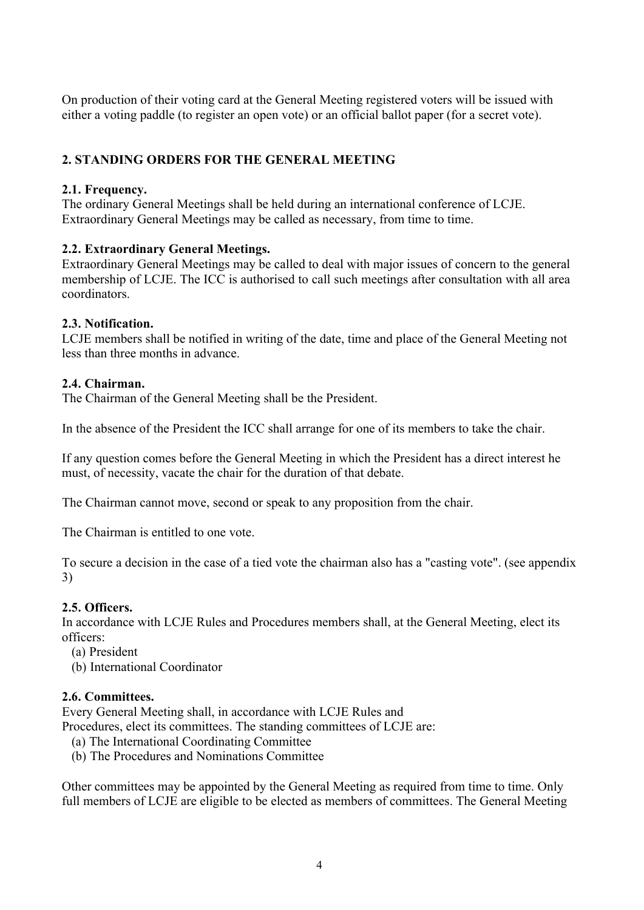On production of their voting card at the General Meeting registered voters will be issued with either a voting paddle (to register an open vote) or an official ballot paper (for a secret vote).

# **2. STANDING ORDERS FOR THE GENERAL MEETING**

# **2.1. Frequency.**

The ordinary General Meetings shall be held during an international conference of LCJE. Extraordinary General Meetings may be called as necessary, from time to time.

#### **2.2. Extraordinary General Meetings.**

Extraordinary General Meetings may be called to deal with major issues of concern to the general membership of LCJE. The ICC is authorised to call such meetings after consultation with all area coordinators.

#### **2.3. Notification.**

LCJE members shall be notified in writing of the date, time and place of the General Meeting not less than three months in advance.

#### **2.4. Chairman.**

The Chairman of the General Meeting shall be the President.

In the absence of the President the ICC shall arrange for one of its members to take the chair.

If any question comes before the General Meeting in which the President has a direct interest he must, of necessity, vacate the chair for the duration of that debate.

The Chairman cannot move, second or speak to any proposition from the chair.

The Chairman is entitled to one vote.

To secure a decision in the case of a tied vote the chairman also has a "casting vote". (see appendix 3)

#### **2.5. Officers.**

In accordance with LCJE Rules and Procedures members shall, at the General Meeting, elect its officers:

- (a) President
- (b) International Coordinator

#### **2.6. Committees.**

Every General Meeting shall, in accordance with LCJE Rules and Procedures, elect its committees. The standing committees of LCJE are:

- (a) The International Coordinating Committee
- (b) The Procedures and Nominations Committee

Other committees may be appointed by the General Meeting as required from time to time. Only full members of LCJE are eligible to be elected as members of committees. The General Meeting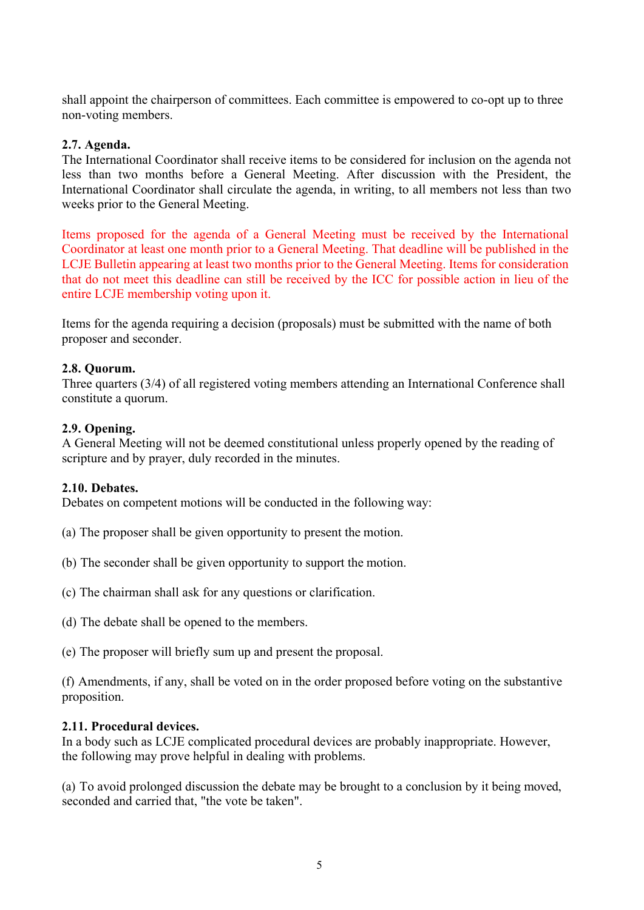shall appoint the chairperson of committees. Each committee is empowered to co-opt up to three non-voting members.

#### **2.7. Agenda.**

The International Coordinator shall receive items to be considered for inclusion on the agenda not less than two months before a General Meeting. After discussion with the President, the International Coordinator shall circulate the agenda, in writing, to all members not less than two weeks prior to the General Meeting.

Items proposed for the agenda of a General Meeting must be received by the International Coordinator at least one month prior to a General Meeting. That deadline will be published in the LCJE Bulletin appearing at least two months prior to the General Meeting. Items for consideration that do not meet this deadline can still be received by the ICC for possible action in lieu of the entire LCJE membership voting upon it.

Items for the agenda requiring a decision (proposals) must be submitted with the name of both proposer and seconder.

#### **2.8. Quorum.**

Three quarters (3/4) of all registered voting members attending an International Conference shall constitute a quorum.

#### **2.9. Opening.**

A General Meeting will not be deemed constitutional unless properly opened by the reading of scripture and by prayer, duly recorded in the minutes.

#### **2.10. Debates.**

Debates on competent motions will be conducted in the following way:

- (a) The proposer shall be given opportunity to present the motion.
- (b) The seconder shall be given opportunity to support the motion.
- (c) The chairman shall ask for any questions or clarification.
- (d) The debate shall be opened to the members.
- (e) The proposer will briefly sum up and present the proposal.

(f) Amendments, if any, shall be voted on in the order proposed before voting on the substantive proposition.

#### **2.11. Procedural devices.**

In a body such as LCJE complicated procedural devices are probably inappropriate. However, the following may prove helpful in dealing with problems.

(a) To avoid prolonged discussion the debate may be brought to a conclusion by it being moved, seconded and carried that, "the vote be taken".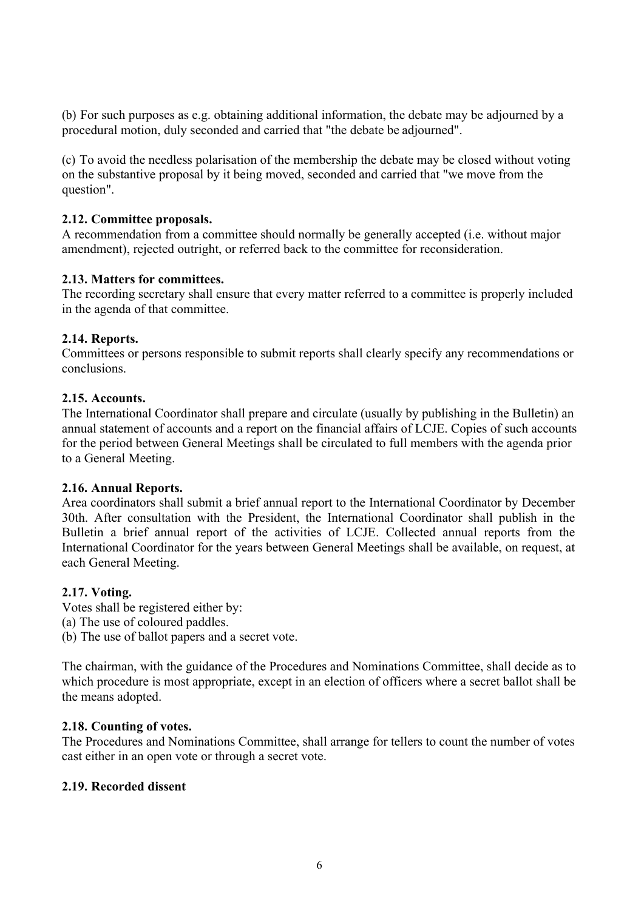(b) For such purposes as e.g. obtaining additional information, the debate may be adjourned by a procedural motion, duly seconded and carried that "the debate be adjourned".

(c) To avoid the needless polarisation of the membership the debate may be closed without voting on the substantive proposal by it being moved, seconded and carried that "we move from the question".

# **2.12. Committee proposals.**

A recommendation from a committee should normally be generally accepted (i.e. without major amendment), rejected outright, or referred back to the committee for reconsideration.

#### **2.13. Matters for committees.**

The recording secretary shall ensure that every matter referred to a committee is properly included in the agenda of that committee.

#### **2.14. Reports.**

Committees or persons responsible to submit reports shall clearly specify any recommendations or conclusions.

#### **2.15. Accounts.**

The International Coordinator shall prepare and circulate (usually by publishing in the Bulletin) an annual statement of accounts and a report on the financial affairs of LCJE. Copies of such accounts for the period between General Meetings shall be circulated to full members with the agenda prior to a General Meeting.

#### **2.16. Annual Reports.**

Area coordinators shall submit a brief annual report to the International Coordinator by December 30th. After consultation with the President, the International Coordinator shall publish in the Bulletin a brief annual report of the activities of LCJE. Collected annual reports from the International Coordinator for the years between General Meetings shall be available, on request, at each General Meeting.

#### **2.17. Voting.**

Votes shall be registered either by: (a) The use of coloured paddles. (b) The use of ballot papers and a secret vote.

The chairman, with the guidance of the Procedures and Nominations Committee, shall decide as to which procedure is most appropriate, except in an election of officers where a secret ballot shall be the means adopted.

# **2.18. Counting of votes.**

The Procedures and Nominations Committee, shall arrange for tellers to count the number of votes cast either in an open vote or through a secret vote.

# **2.19. Recorded dissent**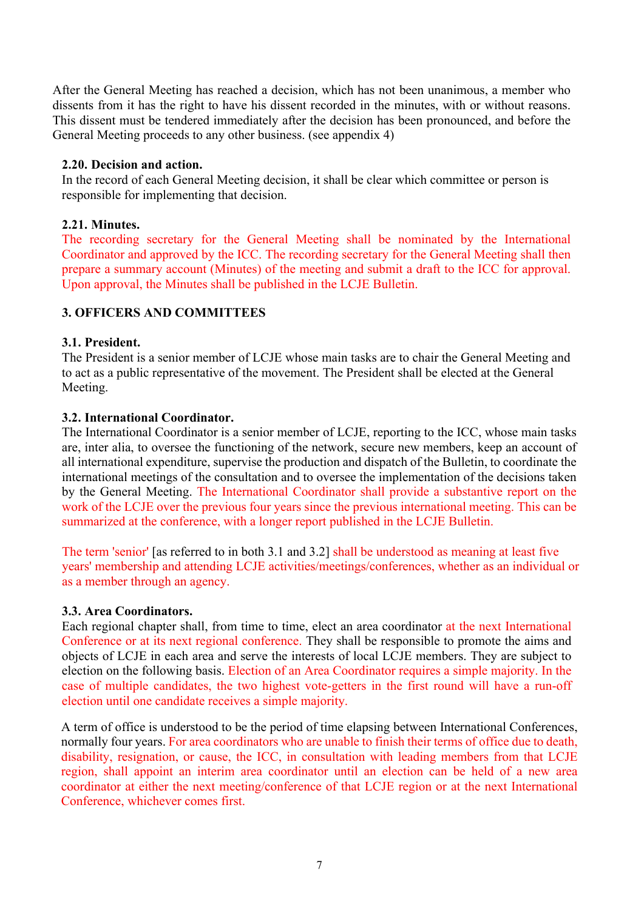After the General Meeting has reached a decision, which has not been unanimous, a member who dissents from it has the right to have his dissent recorded in the minutes, with or without reasons. This dissent must be tendered immediately after the decision has been pronounced, and before the General Meeting proceeds to any other business. (see appendix 4)

# **2.20. Decision and action.**

In the record of each General Meeting decision, it shall be clear which committee or person is responsible for implementing that decision.

# **2.21. Minutes.**

The recording secretary for the General Meeting shall be nominated by the International Coordinator and approved by the ICC. The recording secretary for the General Meeting shall then prepare a summary account (Minutes) of the meeting and submit a draft to the ICC for approval. Upon approval, the Minutes shall be published in the LCJE Bulletin.

# **3. OFFICERS AND COMMITTEES**

#### **3.1. President.**

The President is a senior member of LCJE whose main tasks are to chair the General Meeting and to act as a public representative of the movement. The President shall be elected at the General Meeting.

#### **3.2. International Coordinator.**

The International Coordinator is a senior member of LCJE, reporting to the ICC, whose main tasks are, inter alia, to oversee the functioning of the network, secure new members, keep an account of all international expenditure, supervise the production and dispatch of the Bulletin, to coordinate the international meetings of the consultation and to oversee the implementation of the decisions taken by the General Meeting. The International Coordinator shall provide a substantive report on the work of the LCJE over the previous four years since the previous international meeting. This can be summarized at the conference, with a longer report published in the LCJE Bulletin.

The term 'senior' [as referred to in both 3.1 and 3.2] shall be understood as meaning at least five years' membership and attending LCJE activities/meetings/conferences, whether as an individual or as a member through an agency.

# **3.3. Area Coordinators.**

Each regional chapter shall, from time to time, elect an area coordinator at the next International Conference or at its next regional conference. They shall be responsible to promote the aims and objects of LCJE in each area and serve the interests of local LCJE members. They are subject to election on the following basis. Election of an Area Coordinator requires a simple majority. In the case of multiple candidates, the two highest vote-getters in the first round will have a run-off election until one candidate receives a simple majority.

A term of office is understood to be the period of time elapsing between International Conferences, normally four years. For area coordinators who are unable to finish their terms of office due to death, disability, resignation, or cause, the ICC, in consultation with leading members from that LCJE region, shall appoint an interim area coordinator until an election can be held of a new area coordinator at either the next meeting/conference of that LCJE region or at the next International Conference, whichever comes first.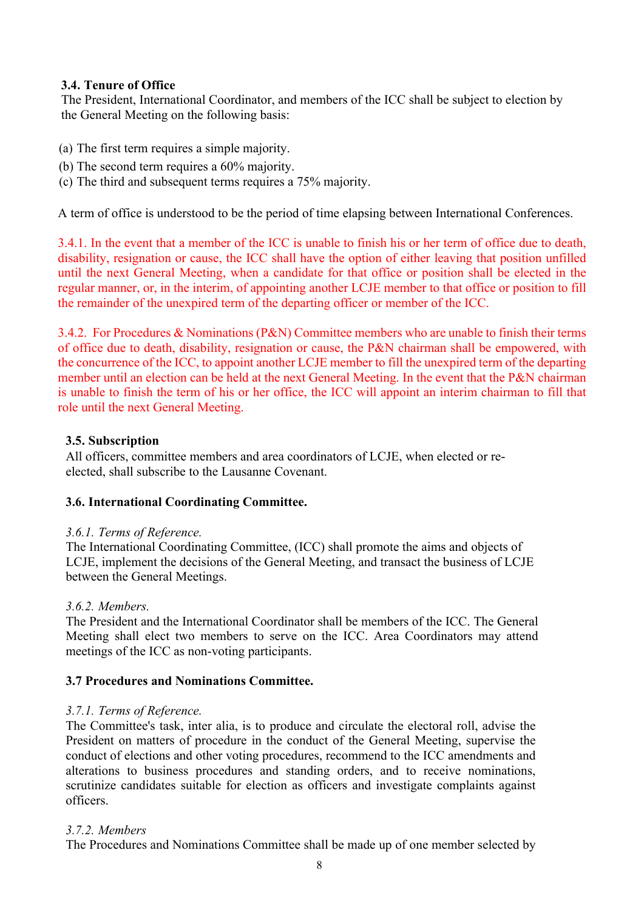# **3.4. Tenure of Office**

The President, International Coordinator, and members of the ICC shall be subject to election by the General Meeting on the following basis:

- (a) The first term requires a simple majority.
- (b) The second term requires a 60% majority.
- (c) The third and subsequent terms requires a 75% majority.

A term of office is understood to be the period of time elapsing between International Conferences.

3.4.1. In the event that a member of the ICC is unable to finish his or her term of office due to death, disability, resignation or cause, the ICC shall have the option of either leaving that position unfilled until the next General Meeting, when a candidate for that office or position shall be elected in the regular manner, or, in the interim, of appointing another LCJE member to that office or position to fill the remainder of the unexpired term of the departing officer or member of the ICC.

3.4.2. For Procedures & Nominations (P&N) Committee members who are unable to finish their terms of office due to death, disability, resignation or cause, the P&N chairman shall be empowered, with the concurrence of the ICC, to appoint another LCJE member to fill the unexpired term of the departing member until an election can be held at the next General Meeting. In the event that the P&N chairman is unable to finish the term of his or her office, the ICC will appoint an interim chairman to fill that role until the next General Meeting.

#### **3.5. Subscription**

All officers, committee members and area coordinators of LCJE, when elected or reelected, shall subscribe to the Lausanne Covenant.

# **3.6. International Coordinating Committee.**

#### *3.6.1. Terms of Reference.*

The International Coordinating Committee, (ICC) shall promote the aims and objects of LCJE, implement the decisions of the General Meeting, and transact the business of LCJE between the General Meetings.

#### *3.6.2. Members.*

The President and the International Coordinator shall be members of the ICC. The General Meeting shall elect two members to serve on the ICC. Area Coordinators may attend meetings of the ICC as non-voting participants.

# **3.7 Procedures and Nominations Committee.**

#### *3.7.1. Terms of Reference.*

The Committee's task, inter alia, is to produce and circulate the electoral roll, advise the President on matters of procedure in the conduct of the General Meeting, supervise the conduct of elections and other voting procedures, recommend to the ICC amendments and alterations to business procedures and standing orders, and to receive nominations, scrutinize candidates suitable for election as officers and investigate complaints against officers.

#### *3.7.2. Members*

The Procedures and Nominations Committee shall be made up of one member selected by